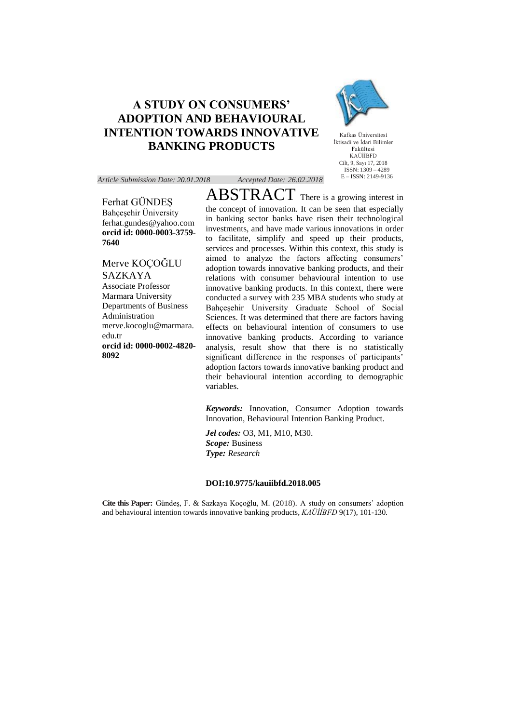## **A STUDY ON CONSUMERS' ADOPTION AND BEHAVIOURAL INTENTION TOWARDS INNOVATIVE BANKING PRODUCTS**



Kafkas Üniversitesi İktisadi ve İdari Bilimler Fakültesi KAÜİİBFD Cilt, 9, Sayı 17, 2018  $ISSN: 1309 - 4289$ E – ISSN: 2149-9136

*Article Submission Date: 20.01.2018 Accepted Date: 26.02.2018*

# Ferhat GÜNDEŞ

Bahçeşehir Üniversity ferhat.gundes@yahoo.com **orcid id: [0000-0003-3759-](https://orcid.org/0000-0003-3759-7640) [7640](https://orcid.org/0000-0003-3759-7640)**

Merve KOÇOĞLU SAZKAYA Associate Professor Marmara University Departments of Business Administration [merve.kocoglu@marmara.](mailto:merve.kocoglu@marmara.edu.tr) [edu.tr](mailto:merve.kocoglu@marmara.edu.tr) **orcid id: 0000-0002-4820- 8092**

ABSTRACT There is a growing interest in the concept of innovation. It can be seen that especially in banking sector banks have risen their technological investments, and have made various innovations in order to facilitate, simplify and speed up their products, services and processes. Within this context, this study is aimed to analyze the factors affecting consumers' adoption towards innovative banking products, and their relations with consumer behavioural intention to use innovative banking products. In this context, there were conducted a survey with 235 MBA students who study at Bahçeşehir University Graduate School of Social Sciences. It was determined that there are factors having effects on behavioural intention of consumers to use innovative banking products. According to variance analysis, result show that there is no statistically significant difference in the responses of participants' adoption factors towards innovative banking product and their behavioural intention according to demographic variables.

*Keywords:* Innovation, Consumer Adoption towards Innovation, Behavioural Intention Banking Product.

*Jel codes:* O3, M1, M10, M30. *Scope:* Business *Type: Research*

#### **DOI:10.9775/kauiibfd.2018.005**

**Cite this Paper:** Gündeş, F. & Sazkaya Koçoğlu, M. (2018). A study on consumers' adoption and behavioural intention towards innovative banking products, *KAÜİİBFD* 9(17), 101-130.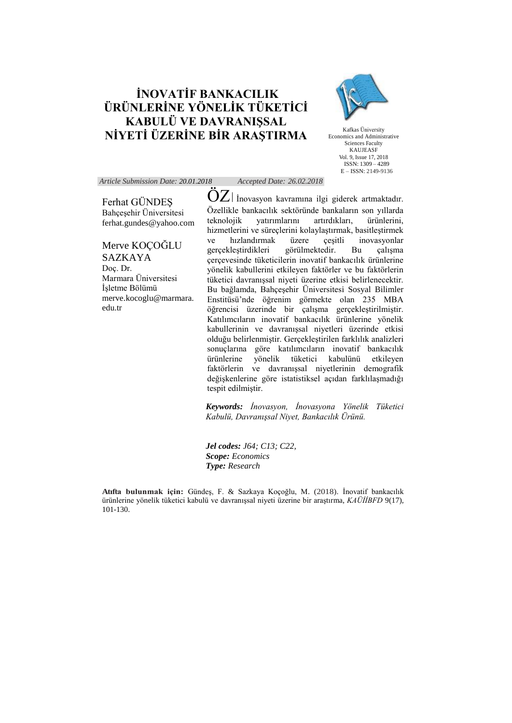## **İNOVATİF BANKACILIK ÜRÜNLERİNE YÖNELİK TÜKETİCİ KABULÜ VE DAVRANIŞSAL NİYETİ ÜZERİNE BİR ARAŞTIRMA**



Kafkas Üniversity Economics and Administrative Sciences Faculty KAUJEASF Vol. 9, Issue 17, 2018 ISSN: 1309 – 4289 E – ISSN: 2149-9136

#### *Article Submission Date: 20.01.2018 Accepted Date: 26.02.2018*

Ferhat GÜNDEŞ Bahçeşehir Üniversitesi ferhat.gundes@yahoo.com

Merve KOÇOĞLU SAZKAYA Doç. Dr. Marmara Üniversitesi İşletme Bölümü [merve.kocoglu@marmara.](mailto:merve.kocoglu@marmara.edu.tr) [edu.tr](mailto:merve.kocoglu@marmara.edu.tr)

 $OZ$  *i* inovasyon kavramına ilgi giderek artmaktadır. Özellikle bankacılık sektöründe bankaların son yıllarda teknolojik yatırımlarını artırdıkları, ürünlerini, hizmetlerini ve süreçlerini kolaylaştırmak, basitleştirmek ve hızlandırmak üzere çeşitli inovasyonlar<br>gerçeklestirdikleri görülmektedir. Bu çalışma gerçekleştirdikleri görülmektedir. Bu çalışma çerçevesinde tüketicilerin inovatif bankacılık ürünlerine yönelik kabullerini etkileyen faktörler ve bu faktörlerin tüketici davranışsal niyeti üzerine etkisi belirlenecektir. Bu bağlamda, Bahçeşehir Üniversitesi Sosyal Bilimler Enstitüsü'nde öğrenim görmekte olan 235 MBA öğrencisi üzerinde bir çalışma gerçekleştirilmiştir. Katılımcıların inovatif bankacılık ürünlerine yönelik kabullerinin ve davranışsal niyetleri üzerinde etkisi olduğu belirlenmiştir. Gerçekleştirilen farklılık analizleri sonuçlarına göre katılımcıların inovatif bankacılık ürünlerine yönelik tüketici kabulünü etkileyen faktörlerin ve davranışsal niyetlerinin demografik değişkenlerine göre istatistiksel açıdan farklılaşmadığı tespit edilmiştir.

*Keywords: İnovasyon, İnovasyona Yönelik Tüketici Kabulü, Davranışsal Niyet, Bankacılık Ürünü.*

*Jel codes: J64; C13; C22, Scope: Economics Type: Research*

**Atıfta bulunmak için:** Gündeş, F. & Sazkaya Koçoğlu, M. (2018). İnovatif bankacılık ürünlerine yönelik tüketici kabulü ve davranışsal niyeti üzerine bir araştırma, *KAÜİİBFD* 9(17), 101-130.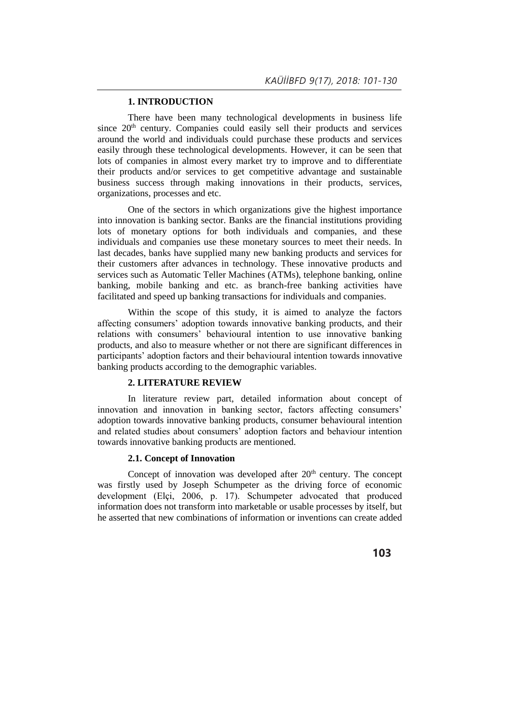## **1. INTRODUCTION**

There have been many technological developments in business life since 20<sup>th</sup> century. Companies could easily sell their products and services around the world and individuals could purchase these products and services easily through these technological developments. However, it can be seen that lots of companies in almost every market try to improve and to differentiate their products and/or services to get competitive advantage and sustainable business success through making innovations in their products, services, organizations, processes and etc.

One of the sectors in which organizations give the highest importance into innovation is banking sector. Banks are the financial institutions providing lots of monetary options for both individuals and companies, and these individuals and companies use these monetary sources to meet their needs. In last decades, banks have supplied many new banking products and services for their customers after advances in technology. These innovative products and services such as Automatic Teller Machines (ATMs), telephone banking, online banking, mobile banking and etc. as branch-free banking activities have facilitated and speed up banking transactions for individuals and companies.

Within the scope of this study, it is aimed to analyze the factors affecting consumers' adoption towards innovative banking products, and their relations with consumers' behavioural intention to use innovative banking products, and also to measure whether or not there are significant differences in participants' adoption factors and their behavioural intention towards innovative banking products according to the demographic variables.

#### **2. LITERATURE REVIEW**

In literature review part, detailed information about concept of innovation and innovation in banking sector, factors affecting consumers' adoption towards innovative banking products, consumer behavioural intention and related studies about consumers' adoption factors and behaviour intention towards innovative banking products are mentioned.

#### **2.1. Concept of Innovation**

Concept of innovation was developed after  $20<sup>th</sup>$  century. The concept was firstly used by Joseph Schumpeter as the driving force of economic development (Elçi, 2006, p. 17). Schumpeter advocated that produced information does not transform into marketable or usable processes by itself, but he asserted that new combinations of information or inventions can create added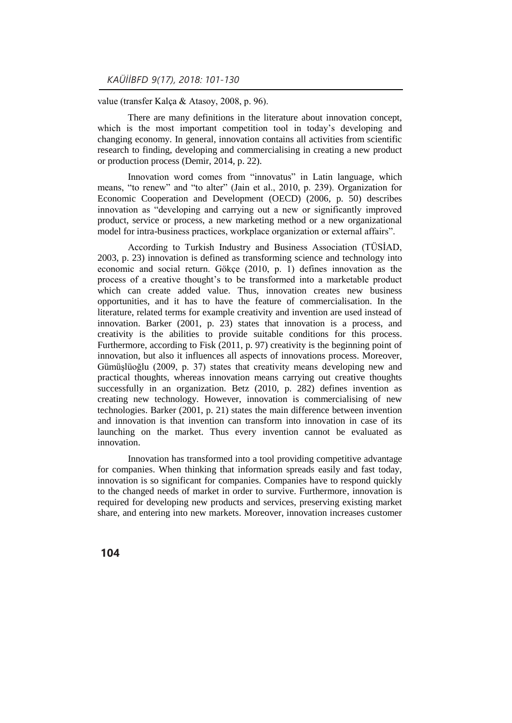value (transfer Kalça & Atasoy, 2008, p. 96).

There are many definitions in the literature about innovation concept, which is the most important competition tool in today's developing and changing economy. In general, innovation contains all activities from scientific research to finding, developing and commercialising in creating a new product or production process (Demir, 2014, p. 22).

Innovation word comes from "innovatus" in Latin language, which means, "to renew" and "to alter" (Jain et al., 2010, p. 239). Organization for Economic Cooperation and Development (OECD) (2006, p. 50) describes innovation as "developing and carrying out a new or significantly improved product, service or process, a new marketing method or a new organizational model for intra-business practices, workplace organization or external affairs".

According to Turkish Industry and Business Association (TÜSİAD, 2003, p. 23) innovation is defined as transforming science and technology into economic and social return. Gökçe (2010, p. 1) defines innovation as the process of a creative thought's to be transformed into a marketable product which can create added value. Thus, innovation creates new business opportunities, and it has to have the feature of commercialisation. In the literature, related terms for example creativity and invention are used instead of innovation. Barker (2001, p. 23) states that innovation is a process, and creativity is the abilities to provide suitable conditions for this process. Furthermore, according to Fisk (2011, p. 97) creativity is the beginning point of innovation, but also it influences all aspects of innovations process. Moreover, Gümüşlüoğlu (2009, p. 37) states that creativity means developing new and practical thoughts, whereas innovation means carrying out creative thoughts successfully in an organization. Betz (2010, p. 282) defines invention as creating new technology. However, innovation is commercialising of new technologies. Barker (2001, p. 21) states the main difference between invention and innovation is that invention can transform into innovation in case of its launching on the market. Thus every invention cannot be evaluated as innovation.

Innovation has transformed into a tool providing competitive advantage for companies. When thinking that information spreads easily and fast today, innovation is so significant for companies. Companies have to respond quickly to the changed needs of market in order to survive. Furthermore, innovation is required for developing new products and services, preserving existing market share, and entering into new markets. Moreover, innovation increases customer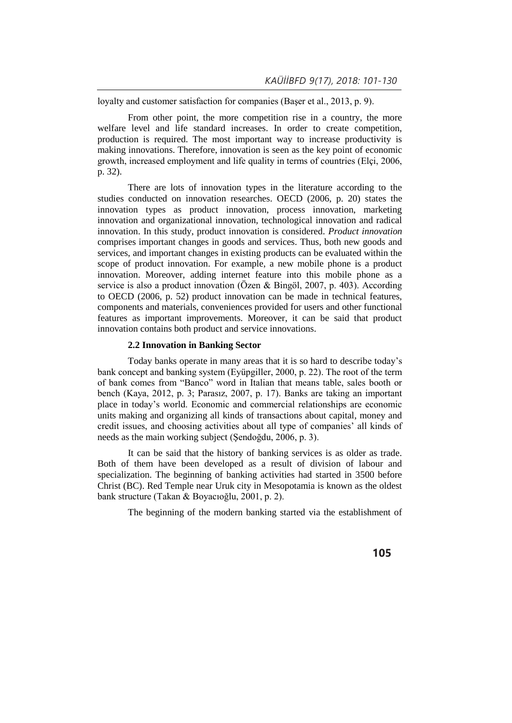loyalty and customer satisfaction for companies (Başer et al., 2013, p. 9).

From other point, the more competition rise in a country, the more welfare level and life standard increases. In order to create competition, production is required. The most important way to increase productivity is making innovations. Therefore, innovation is seen as the key point of economic growth, increased employment and life quality in terms of countries (Elçi, 2006, p. 32).

There are lots of innovation types in the literature according to the studies conducted on innovation researches. OECD (2006, p. 20) states the innovation types as product innovation, process innovation, marketing innovation and organizational innovation, technological innovation and radical innovation. In this study, product innovation is considered. *Product innovation* comprises important changes in goods and services. Thus, both new goods and services, and important changes in existing products can be evaluated within the scope of product innovation. For example, a new mobile phone is a product innovation. Moreover, adding internet feature into this mobile phone as a service is also a product innovation (Özen & Bingöl, 2007, p. 403). According to OECD (2006, p. 52) product innovation can be made in technical features, components and materials, conveniences provided for users and other functional features as important improvements. Moreover, it can be said that product innovation contains both product and service innovations.

### **2.2 Innovation in Banking Sector**

Today banks operate in many areas that it is so hard to describe today's bank concept and banking system (Eyüpgiller, 2000, p. 22). The root of the term of bank comes from "Banco" word in Italian that means table, sales booth or bench (Kaya, 2012, p. 3; Parasız, 2007, p. 17). Banks are taking an important place in today's world. Economic and commercial relationships are economic units making and organizing all kinds of transactions about capital, money and credit issues, and choosing activities about all type of companies' all kinds of needs as the main working subject (Şendoğdu, 2006, p. 3).

It can be said that the history of banking services is as older as trade. Both of them have been developed as a result of division of labour and specialization. The beginning of banking activities had started in 3500 before Christ (BC). Red Temple near Uruk city in Mesopotamia is known as the oldest bank structure (Takan & Boyacıoğlu, 2001, p. 2).

The beginning of the modern banking started via the establishment of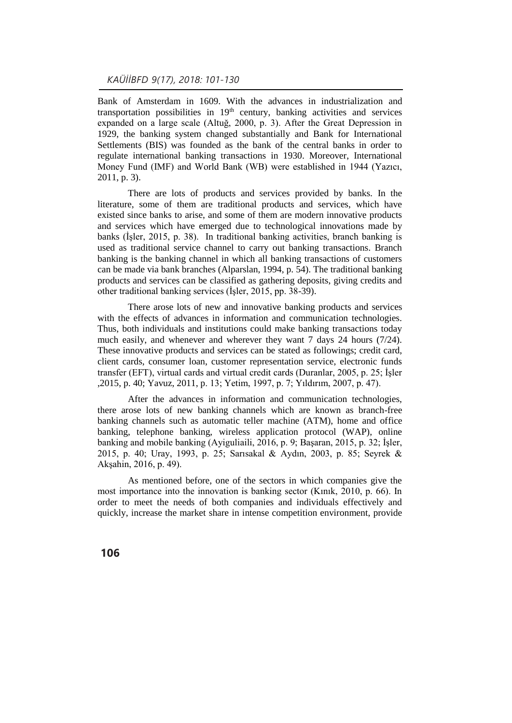Bank of Amsterdam in 1609. With the advances in industrialization and transportation possibilities in  $19<sup>th</sup>$  century, banking activities and services expanded on a large scale (Altuğ, 2000, p. 3). After the Great Depression in 1929, the banking system changed substantially and Bank for International Settlements (BIS) was founded as the bank of the central banks in order to regulate international banking transactions in 1930. Moreover, International Money Fund (IMF) and World Bank (WB) were established in 1944 (Yazıcı, 2011, p. 3).

There are lots of products and services provided by banks. In the literature, some of them are traditional products and services, which have existed since banks to arise, and some of them are modern innovative products and services which have emerged due to technological innovations made by banks (İşler, 2015, p. 38). In traditional banking activities, branch banking is used as traditional service channel to carry out banking transactions. Branch banking is the banking channel in which all banking transactions of customers can be made via bank branches (Alparslan, 1994, p. 54). The traditional banking products and services can be classified as gathering deposits, giving credits and other traditional banking services (İşler, 2015, pp. 38-39).

There arose lots of new and innovative banking products and services with the effects of advances in information and communication technologies. Thus, both individuals and institutions could make banking transactions today much easily, and whenever and wherever they want 7 days 24 hours (7/24). These innovative products and services can be stated as followings; credit card, client cards, consumer loan, customer representation service, electronic funds transfer (EFT), virtual cards and virtual credit cards (Duranlar, 2005, p. 25; İşler ,2015, p. 40; Yavuz, 2011, p. 13; Yetim, 1997, p. 7; Yıldırım, 2007, p. 47).

After the advances in information and communication technologies, there arose lots of new banking channels which are known as branch-free banking channels such as automatic teller machine (ATM), home and office banking, telephone banking, wireless application protocol (WAP), online banking and mobile banking (Ayiguliaili, 2016, p. 9; Başaran, 2015, p. 32; İşler, 2015, p. 40; Uray, 1993, p. 25; Sarısakal & Aydın, 2003, p. 85; Seyrek & Akşahin, 2016, p. 49).

As mentioned before, one of the sectors in which companies give the most importance into the innovation is banking sector (Kınık, 2010, p. 66). In order to meet the needs of both companies and individuals effectively and quickly, increase the market share in intense competition environment, provide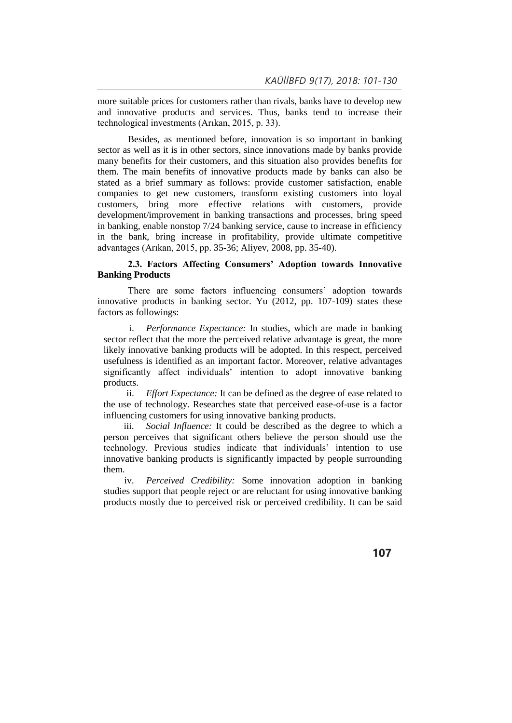more suitable prices for customers rather than rivals, banks have to develop new and innovative products and services. Thus, banks tend to increase their technological investments (Arıkan, 2015, p. 33).

Besides, as mentioned before, innovation is so important in banking sector as well as it is in other sectors, since innovations made by banks provide many benefits for their customers, and this situation also provides benefits for them. The main benefits of innovative products made by banks can also be stated as a brief summary as follows: provide customer satisfaction, enable companies to get new customers, transform existing customers into loyal customers, bring more effective relations with customers, provide development/improvement in banking transactions and processes, bring speed in banking, enable nonstop 7/24 banking service, cause to increase in efficiency in the bank, bring increase in profitability, provide ultimate competitive advantages (Arıkan, 2015, pp. 35-36; Aliyev, 2008, pp. 35-40).

## **2.3. Factors Affecting Consumers' Adoption towards Innovative Banking Products**

There are some factors influencing consumers' adoption towards innovative products in banking sector. Yu (2012, pp. 107-109) states these factors as followings:

i. *Performance Expectance:* In studies, which are made in banking sector reflect that the more the perceived relative advantage is great, the more likely innovative banking products will be adopted. In this respect, perceived usefulness is identified as an important factor. Moreover, relative advantages significantly affect individuals' intention to adopt innovative banking products.

ii. *Effort Expectance:* It can be defined as the degree of ease related to the use of technology. Researches state that perceived ease-of-use is a factor influencing customers for using innovative banking products.

iii. *Social Influence:* It could be described as the degree to which a person perceives that significant others believe the person should use the technology. Previous studies indicate that individuals' intention to use innovative banking products is significantly impacted by people surrounding them.

iv. *Perceived Credibility:* Some innovation adoption in banking studies support that people reject or are reluctant for using innovative banking products mostly due to perceived risk or perceived credibility. It can be said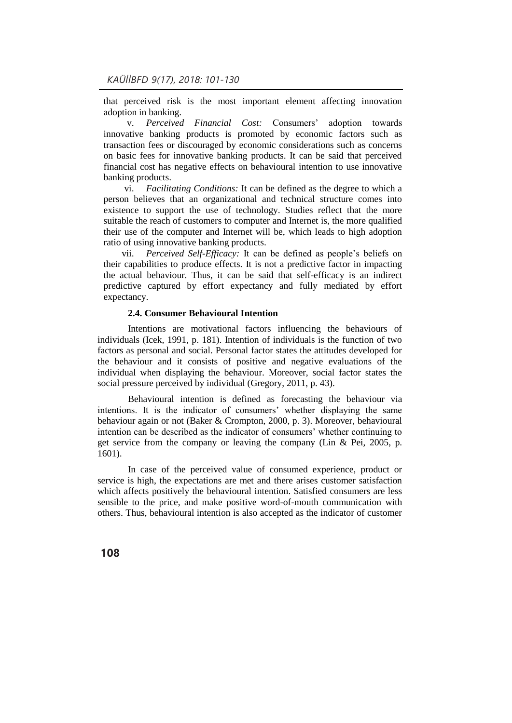that perceived risk is the most important element affecting innovation adoption in banking.

v. *Perceived Financial Cost:* Consumers' adoption towards innovative banking products is promoted by economic factors such as transaction fees or discouraged by economic considerations such as concerns on basic fees for innovative banking products. It can be said that perceived financial cost has negative effects on behavioural intention to use innovative banking products.

vi. *Facilitating Conditions:* It can be defined as the degree to which a person believes that an organizational and technical structure comes into existence to support the use of technology. Studies reflect that the more suitable the reach of customers to computer and Internet is, the more qualified their use of the computer and Internet will be, which leads to high adoption ratio of using innovative banking products.

vii. *Perceived Self-Efficacy:* It can be defined as people's beliefs on their capabilities to produce effects. It is not a predictive factor in impacting the actual behaviour. Thus, it can be said that self-efficacy is an indirect predictive captured by effort expectancy and fully mediated by effort expectancy.

#### **2.4. Consumer Behavioural Intention**

Intentions are motivational factors influencing the behaviours of individuals (Icek, 1991, p. 181). Intention of individuals is the function of two factors as personal and social. Personal factor states the attitudes developed for the behaviour and it consists of positive and negative evaluations of the individual when displaying the behaviour. Moreover, social factor states the social pressure perceived by individual (Gregory, 2011, p. 43).

Behavioural intention is defined as forecasting the behaviour via intentions. It is the indicator of consumers' whether displaying the same behaviour again or not (Baker & Crompton, 2000, p. 3). Moreover, behavioural intention can be described as the indicator of consumers' whether continuing to get service from the company or leaving the company (Lin & Pei, 2005, p. 1601).

In case of the perceived value of consumed experience, product or service is high, the expectations are met and there arises customer satisfaction which affects positively the behavioural intention. Satisfied consumers are less sensible to the price, and make positive word-of-mouth communication with others. Thus, behavioural intention is also accepted as the indicator of customer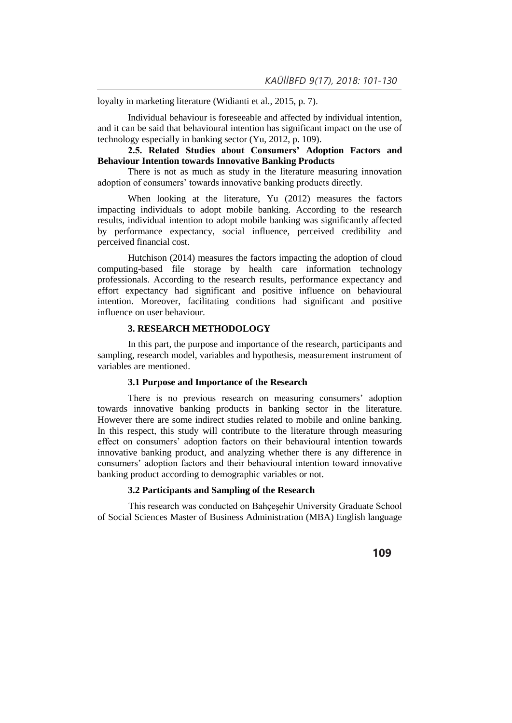loyalty in marketing literature (Widianti et al., 2015, p. 7).

Individual behaviour is foreseeable and affected by individual intention, and it can be said that behavioural intention has significant impact on the use of technology especially in banking sector (Yu, 2012, p. 109).

## **2.5. Related Studies about Consumers' Adoption Factors and Behaviour Intention towards Innovative Banking Products**

There is not as much as study in the literature measuring innovation adoption of consumers' towards innovative banking products directly.

When looking at the literature, Yu (2012) measures the factors impacting individuals to adopt mobile banking. According to the research results, individual intention to adopt mobile banking was significantly affected by performance expectancy, social influence, perceived credibility and perceived financial cost.

Hutchison (2014) measures the factors impacting the adoption of cloud computing-based file storage by health care information technology professionals. According to the research results, performance expectancy and effort expectancy had significant and positive influence on behavioural intention. Moreover, facilitating conditions had significant and positive influence on user behaviour.

### **3. RESEARCH METHODOLOGY**

In this part, the purpose and importance of the research, participants and sampling, research model, variables and hypothesis, measurement instrument of variables are mentioned.

## **3.1 Purpose and Importance of the Research**

There is no previous research on measuring consumers' adoption towards innovative banking products in banking sector in the literature. However there are some indirect studies related to mobile and online banking. In this respect, this study will contribute to the literature through measuring effect on consumers' adoption factors on their behavioural intention towards innovative banking product, and analyzing whether there is any difference in consumers' adoption factors and their behavioural intention toward innovative banking product according to demographic variables or not.

### **3.2 Participants and Sampling of the Research**

This research was conducted on Bahçeşehir University Graduate School of Social Sciences Master of Business Administration (MBA) English language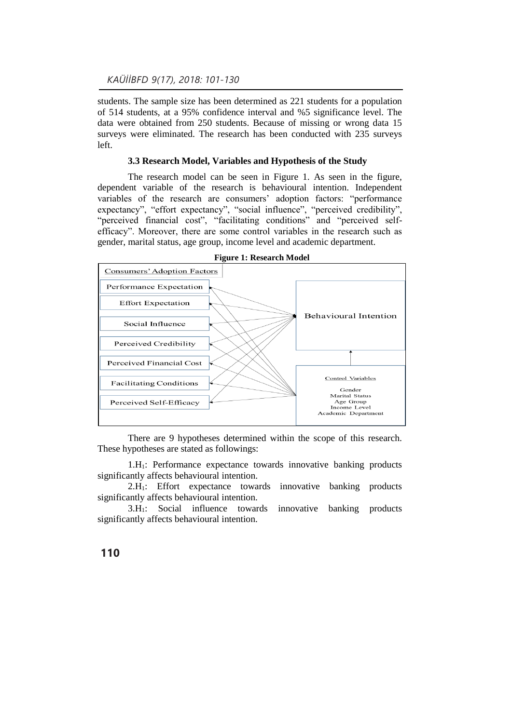students. The sample size has been determined as 221 students for a population of 514 students, at a 95% confidence interval and %5 significance level. The data were obtained from 250 students. Because of missing or wrong data 15 surveys were eliminated. The research has been conducted with 235 surveys left.

#### **3.3 Research Model, Variables and Hypothesis of the Study**

The research model can be seen in Figure 1. As seen in the figure, dependent variable of the research is behavioural intention. Independent variables of the research are consumers' adoption factors: "performance expectancy", "effort expectancy", "social influence", "perceived credibility", "perceived financial cost", "facilitating conditions" and "perceived selfefficacy". Moreover, there are some control variables in the research such as gender, marital status, age group, income level and academic department.



**Figure 1: Research Model** 

There are 9 hypotheses determined within the scope of this research. These hypotheses are stated as followings:

1.H1: Performance expectance towards innovative banking products significantly affects behavioural intention.

2.H1: Effort expectance towards innovative banking products significantly affects behavioural intention.

3.H1: Social influence towards innovative banking products significantly affects behavioural intention.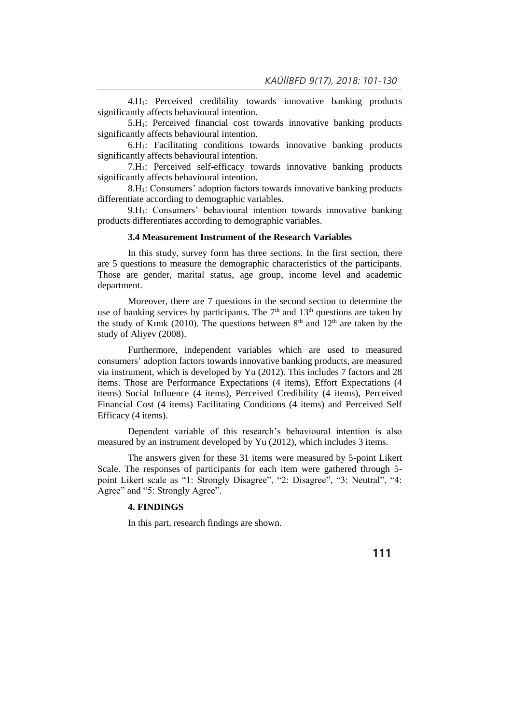4.H1: Perceived credibility towards innovative banking products significantly affects behavioural intention.

5.H1: Perceived financial cost towards innovative banking products significantly affects behavioural intention.

6.H1: Facilitating conditions towards innovative banking products significantly affects behavioural intention.

7.H1: Perceived self-efficacy towards innovative banking products significantly affects behavioural intention.

8.H1: Consumers' adoption factors towards innovative banking products differentiate according to demographic variables.

9.H1: Consumers' behavioural intention towards innovative banking products differentiates according to demographic variables.

### **3.4 Measurement Instrument of the Research Variables**

In this study, survey form has three sections. In the first section, there are 5 questions to measure the demographic characteristics of the participants. Those are gender, marital status, age group, income level and academic department.

Moreover, there are 7 questions in the second section to determine the use of banking services by participants. The  $7<sup>th</sup>$  and  $13<sup>th</sup>$  questions are taken by the study of Kinik (2010). The questions between  $8<sup>th</sup>$  and  $12<sup>th</sup>$  are taken by the study of Aliyev (2008).

Furthermore, independent variables which are used to measured consumers' adoption factors towards innovative banking products, are measured via instrument, which is developed by Yu (2012). This includes 7 factors and 28 items. Those are Performance Expectations (4 items), Effort Expectations (4 items) Social Influence (4 items), Perceived Credibility (4 items), Perceived Financial Cost (4 items) Facilitating Conditions (4 items) and Perceived Self Efficacy (4 items).

Dependent variable of this research's behavioural intention is also measured by an instrument developed by Yu (2012), which includes 3 items.

The answers given for these 31 items were measured by 5-point Likert Scale. The responses of participants for each item were gathered through 5 point Likert scale as "1: Strongly Disagree", "2: Disagree", "3: Neutral", "4: Agree" and "5: Strongly Agree".

## **4. FINDINGS**

In this part, research findings are shown.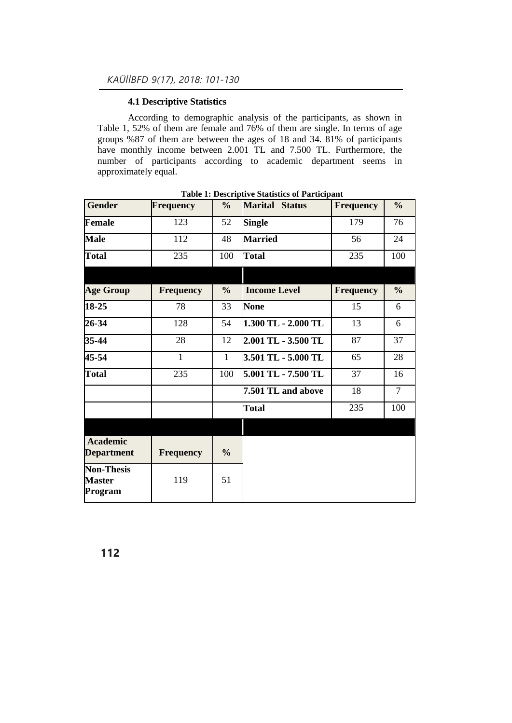## **4.1 Descriptive Statistics**

According to demographic analysis of the participants, as shown in Table 1, 52% of them are female and 76% of them are single. In terms of age groups %87 of them are between the ages of 18 and 34. 81% of participants have monthly income between 2.001 TL and 7.500 TL. Furthermore, the number of participants according to academic department seems in approximately equal.

| <b>Gender</b>                                 | <b>Frequency</b> | $\frac{0}{0}$ | <b>Marital</b><br><b>Status</b> | <b>Frequency</b> | $\frac{0}{0}$  |
|-----------------------------------------------|------------------|---------------|---------------------------------|------------------|----------------|
| <b>Female</b>                                 | 123              | 52            | <b>Single</b>                   | 179              | 76             |
| <b>Male</b>                                   | 112              | 48            | <b>Married</b>                  | 56               | 24             |
| <b>Total</b>                                  | 235              | 100           | <b>Total</b>                    | 235              | 100            |
|                                               |                  |               |                                 |                  |                |
| <b>Age Group</b>                              | <b>Frequency</b> | $\frac{0}{0}$ | <b>Income Level</b>             | <b>Frequency</b> | $\frac{0}{0}$  |
| 18-25                                         | 78               | 33            | <b>None</b>                     | 15               | 6              |
| 26-34                                         | 128              | 54            | 1.300 TL - 2.000 TL             | 13               | 6              |
| 35-44                                         | 28               | 12            | 2.001 TL - 3.500 TL             | 87               | 37             |
| 45-54                                         | $\mathbf{1}$     | $\mathbf{1}$  | 3.501 TL - 5.000 TL             | 65               | 28             |
| <b>Total</b>                                  | 235              | 100           | 5.001 TL - 7.500 TL             | 37               | 16             |
|                                               |                  |               | 7.501 TL and above              | 18               | $\overline{7}$ |
|                                               |                  |               | <b>Total</b>                    | 235              | 100            |
|                                               |                  |               |                                 |                  |                |
| <b>Academic</b><br><b>Department</b>          | <b>Frequency</b> | $\frac{0}{0}$ |                                 |                  |                |
| <b>Non-Thesis</b><br><b>Master</b><br>Program | 119              | 51            |                                 |                  |                |

**Table 1: Descriptive Statistics of Participant**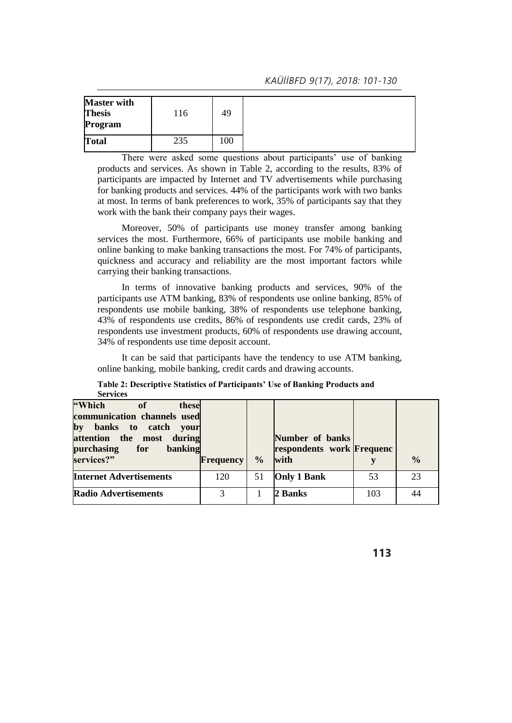| <b>Master with</b><br>49<br><b>Thesis</b><br>116<br>Program |
|-------------------------------------------------------------|
| 235<br>100 <sub>1</sub><br><b>Total</b>                     |

There were asked some questions about participants' use of banking products and services. As shown in Table 2, according to the results, 83% of participants are impacted by Internet and TV advertisements while purchasing for banking products and services. 44% of the participants work with two banks at most. In terms of bank preferences to work, 35% of participants say that they work with the bank their company pays their wages.

Moreover, 50% of participants use money transfer among banking services the most. Furthermore, 66% of participants use mobile banking and online banking to make banking transactions the most. For 74% of participants, quickness and accuracy and reliability are the most important factors while carrying their banking transactions.

In terms of innovative banking products and services, 90% of the participants use ATM banking, 83% of respondents use online banking, 85% of respondents use mobile banking, 38% of respondents use telephone banking, 43% of respondents use credits, 86% of respondents use credit cards, 23% of respondents use investment products, 60% of respondents use drawing account, 34% of respondents use time deposit account.

It can be said that participants have the tendency to use ATM banking, online banking, mobile banking, credit cards and drawing accounts.

| <b>Services</b>                                                                                                                                              |                  |               |                                                      |     |               |
|--------------------------------------------------------------------------------------------------------------------------------------------------------------|------------------|---------------|------------------------------------------------------|-----|---------------|
| "Which<br>these<br>of<br>communication channels used<br>by<br>banks to catch your<br>attention the most during<br>purchasing<br>banking<br>for<br>services?" | <b>Frequency</b> | $\frac{0}{0}$ | Number of banks<br>respondents work Frequenc<br>with |     | $\frac{0}{0}$ |
| <b>Internet Advertisements</b>                                                                                                                               | 120              | 51            | <b>Only 1 Bank</b>                                   | 53  | 23            |
| <b>Radio Advertisements</b>                                                                                                                                  | 3                |               | 2 Banks                                              | 103 | 44            |

**Table 2: Descriptive Statistics of Participants' Use of Banking Products and Services**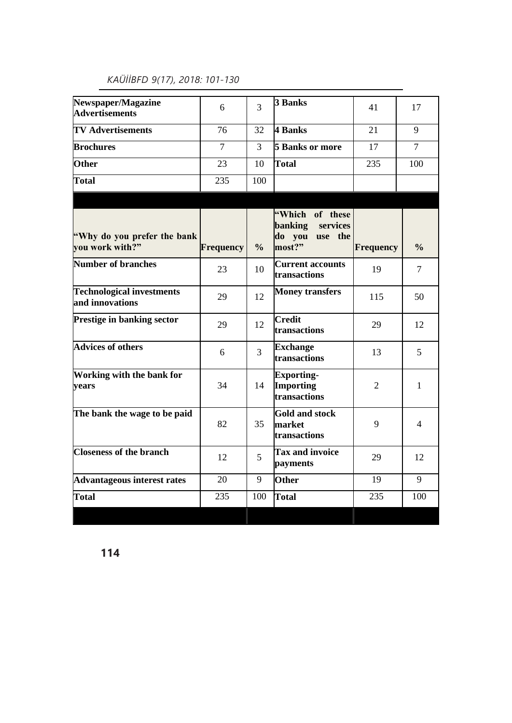| Newspaper/Magazine<br><b>Advertisements</b>         | 6                | 3             | <b>3 Banks</b>                                                        | 41             | 17             |
|-----------------------------------------------------|------------------|---------------|-----------------------------------------------------------------------|----------------|----------------|
| <b>TV Advertisements</b>                            | 76               | 32            | 4 Banks                                                               | 21             | 9              |
| <b>Brochures</b>                                    | $\tau$           | 3             | <b>5 Banks or more</b>                                                | 17             | $\overline{7}$ |
| Other                                               | 23               | 10            | <b>Total</b>                                                          | 235            | 100            |
| <b>Total</b>                                        | 235              | 100           |                                                                       |                |                |
|                                                     |                  |               |                                                                       |                |                |
| "Why do you prefer the bank<br>vou work with?"      | <b>Frequency</b> | $\frac{0}{0}$ | "Which of these<br>services<br>banking<br>do you<br>use the<br>most?" | Frequency      | $\frac{0}{0}$  |
| <b>Number of branches</b>                           | 23               | 10            | <b>Current accounts</b><br>transactions                               | 19             | 7              |
| <b>Technological investments</b><br>and innovations | 29               | 12            | <b>Money transfers</b>                                                | 115            | 50             |
| <b>Prestige in banking sector</b>                   | 29               | 12            | <b>Credit</b><br>transactions                                         | 29             | 12             |
| <b>Advices of others</b>                            | 6                | 3             | <b>Exchange</b><br>transactions                                       | 13             | 5              |
| Working with the bank for<br>vears                  | 34               | 14            | <b>Exporting-</b><br><b>Importing</b><br>transactions                 | $\overline{2}$ | 1              |
| The bank the wage to be paid                        | 82               | 35            | <b>Gold and stock</b><br>market<br>transactions                       | 9              | 4              |
| <b>Closeness of the branch</b>                      | 12               | 5             | <b>Tax and invoice</b><br>payments                                    | 29             | 12             |
| <b>Advantageous interest rates</b>                  | 20               | 9             | Other                                                                 | 19             | 9              |
| Total                                               | 235              | 100           | <b>Total</b>                                                          | 235            | 100            |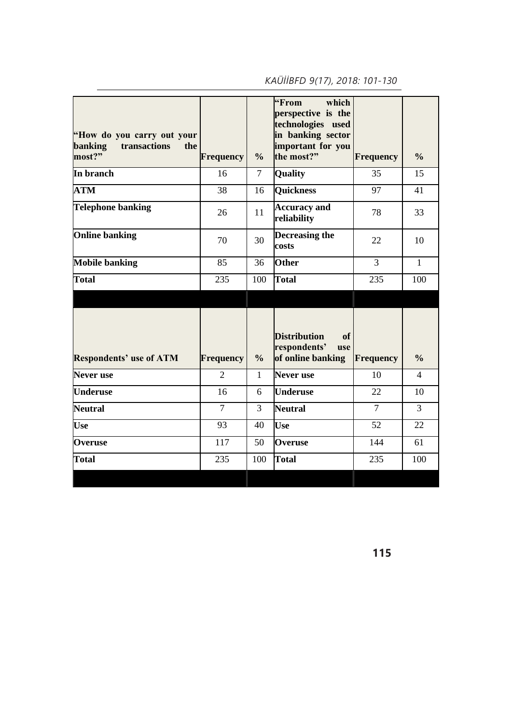| "How do you carry out your<br>transactions<br><b>banking</b><br>the<br>most?" | <b>Frequency</b> | $\frac{0}{0}$  | "From<br>which<br>perspective is the<br>technologies used<br>in banking sector<br>important for you<br>the most?" | <b>Frequency</b> | $\frac{0}{0}$  |
|-------------------------------------------------------------------------------|------------------|----------------|-------------------------------------------------------------------------------------------------------------------|------------------|----------------|
| In branch                                                                     | 16               | $\overline{7}$ | Quality                                                                                                           | 35               | 15             |
| <b>ATM</b>                                                                    | 38               | 16             | <b>Quickness</b>                                                                                                  | 97               | 41             |
| <b>Telephone banking</b>                                                      | 26               | 11             | <b>Accuracy and</b><br>reliability                                                                                | 78               | 33             |
| <b>Online banking</b>                                                         | 70               | 30             | <b>Decreasing the</b><br>costs                                                                                    | 22               | 10             |
| <b>Mobile banking</b>                                                         | 85               | 36             | <b>Other</b>                                                                                                      | 3                | $\mathbf{1}$   |
| <b>Total</b>                                                                  | 235              | 100            | <b>Total</b>                                                                                                      | 235              | 100            |
| <b>Respondents' use of ATM</b>                                                | <b>Frequency</b> | $\frac{0}{0}$  | <b>Distribution</b><br>of<br>respondents'<br>use<br>of online banking                                             | <b>Frequency</b> | $\frac{0}{0}$  |
| Never use                                                                     | $\overline{2}$   | $\mathbf{1}$   | <b>Never</b> use                                                                                                  | 10               | $\overline{4}$ |
| <b>Underuse</b>                                                               | 16               | 6              | <b>Underuse</b>                                                                                                   | 22               | 10             |
| <b>Neutral</b>                                                                | $\overline{7}$   | 3              | <b>Neutral</b>                                                                                                    | $\overline{7}$   | 3              |
| <b>Use</b>                                                                    | 93               | 40             | <b>Use</b>                                                                                                        | 52               | 22             |
| <b>Overuse</b>                                                                | 117              | 50             | <b>Overuse</b>                                                                                                    | 144              | 61             |
| <b>Total</b>                                                                  | 235              | 100            | Total                                                                                                             | 235              | 100            |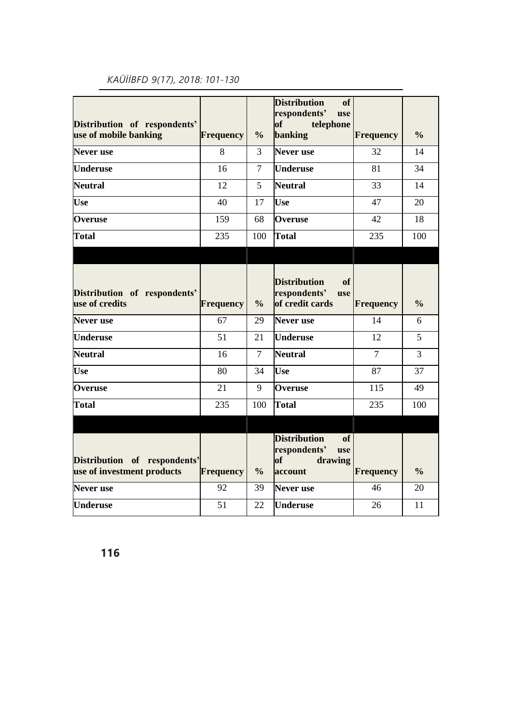| Distribution of respondents'<br>use of mobile banking      | <b>Frequency</b> | $\frac{0}{0}$  | <b>Distribution</b><br>of<br>respondents'<br>use<br>of<br>telephone<br><b>banking</b> | <b>Frequency</b> | $\frac{0}{0}$  |
|------------------------------------------------------------|------------------|----------------|---------------------------------------------------------------------------------------|------------------|----------------|
| Never use                                                  | 8                | 3              | <b>Never</b> use                                                                      | 32               | 14             |
| <b>Underuse</b>                                            | 16               | $\overline{7}$ | <b>Underuse</b>                                                                       | 81               | 34             |
| <b>Neutral</b>                                             | 12               | 5              | <b>Neutral</b>                                                                        | 33               | 14             |
| <b>Use</b>                                                 | 40               | 17             | <b>Use</b>                                                                            | 47               | 20             |
| <b>Overuse</b>                                             | 159              | 68             | <b>Overuse</b>                                                                        | 42               | 18             |
| <b>Total</b>                                               | 235              | 100            | <b>Total</b>                                                                          | 235              | 100            |
|                                                            |                  |                |                                                                                       |                  |                |
| Distribution of respondents'<br>use of credits             | <b>Frequency</b> | $\frac{0}{0}$  | <b>Distribution</b><br>of<br>respondents'<br>use<br>of credit cards                   | <b>Frequency</b> | $\frac{0}{0}$  |
| Never use                                                  | 67               | 29             | <b>Never</b> use                                                                      | 14               | 6              |
| <b>Underuse</b>                                            | 51               | 21             | <b>Underuse</b>                                                                       | 12               | 5              |
| <b>Neutral</b>                                             | 16               | $\tau$         | <b>Neutral</b>                                                                        | $\tau$           | $\overline{3}$ |
| <b>Use</b>                                                 | 80               | 34             | <b>Use</b>                                                                            | 87               | 37             |
| Overuse                                                    | 21               | 9              | Overuse                                                                               | 115              | 49             |
| <b>Total</b>                                               | 235              | 100            | <b>Total</b>                                                                          | 235              | 100            |
|                                                            |                  |                |                                                                                       |                  |                |
| Distribution of respondents'<br>use of investment products | <b>Frequency</b> | $\frac{0}{0}$  | <b>Distribution</b><br>of<br>respondents'<br>use<br>drawing<br>of<br>account          | <b>Frequency</b> | $\frac{0}{0}$  |
| <b>Never</b> use                                           | 92               | 39             | <b>Never</b> use                                                                      | 46               | 20             |
| <b>Underuse</b>                                            | 51               | 22             | <b>Underuse</b>                                                                       | 26               | 11             |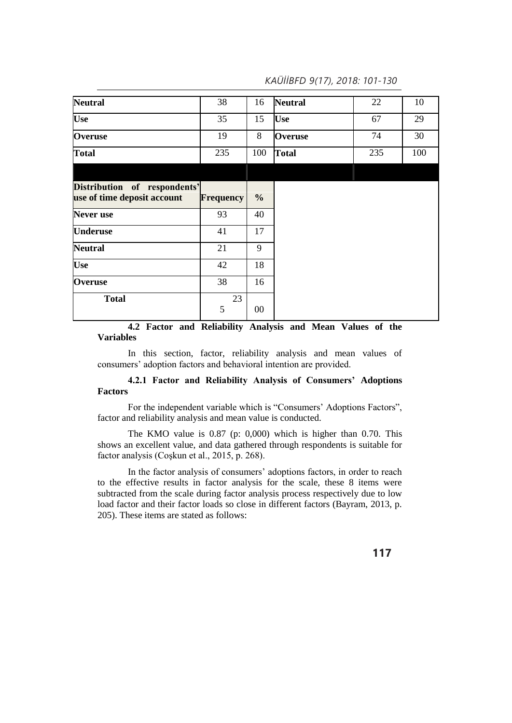| <b>Neutral</b>                                              | 38               | 16            | <b>Neutral</b> | 22  | 10  |
|-------------------------------------------------------------|------------------|---------------|----------------|-----|-----|
| <b>Use</b>                                                  | 35               | 15            | <b>Use</b>     | 67  | 29  |
| Overuse                                                     | 19               | 8             | <b>Overuse</b> | 74  | 30  |
| <b>Total</b>                                                | 235              | 100           | <b>Total</b>   | 235 | 100 |
|                                                             |                  |               |                |     |     |
| Distribution of respondents'<br>use of time deposit account | <b>Frequency</b> | $\frac{0}{0}$ |                |     |     |
| <b>Never</b> use                                            | 93               | 40            |                |     |     |
| <b>Underuse</b>                                             | 41               | 17            |                |     |     |
| <b>Neutral</b>                                              | 21               | 9             |                |     |     |
| <b>Use</b>                                                  | 42               | 18            |                |     |     |
| Overuse                                                     | 38               | 16            |                |     |     |
| <b>Total</b>                                                | 23<br>5          | 00            |                |     |     |

## **4.2 Factor and Reliability Analysis and Mean Values of the Variables**

In this section, factor, reliability analysis and mean values of consumers' adoption factors and behavioral intention are provided.

## **4.2.1 Factor and Reliability Analysis of Consumers' Adoptions Factors**

For the independent variable which is "Consumers' Adoptions Factors", factor and reliability analysis and mean value is conducted.

The KMO value is 0.87 (p: 0,000) which is higher than 0.70. This shows an excellent value, and data gathered through respondents is suitable for factor analysis (Coşkun et al., 2015, p. 268).

In the factor analysis of consumers' adoptions factors, in order to reach to the effective results in factor analysis for the scale, these 8 items were subtracted from the scale during factor analysis process respectively due to low load factor and their factor loads so close in different factors (Bayram, 2013, p. 205). These items are stated as follows: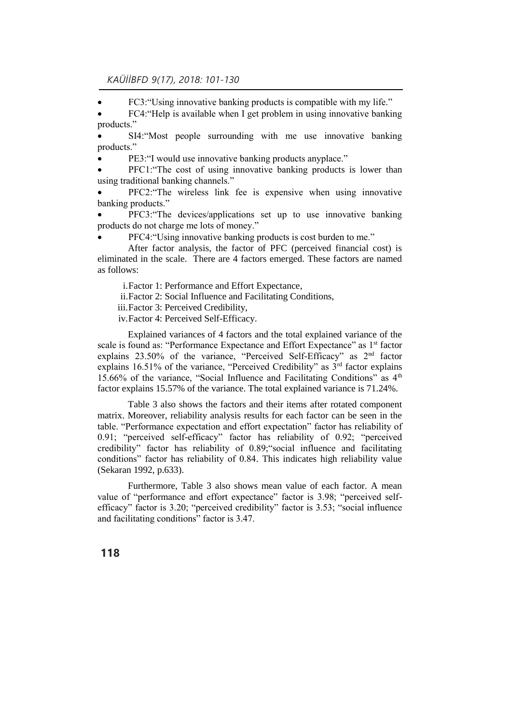FC3:"Using innovative banking products is compatible with my life."

 FC4:"Help is available when I get problem in using innovative banking products."

 SI4:"Most people surrounding with me use innovative banking products."

PE3:"I would use innovative banking products anyplace."

 PFC1:"The cost of using innovative banking products is lower than using traditional banking channels."

 PFC2:"The wireless link fee is expensive when using innovative banking products."

 PFC3:"The devices/applications set up to use innovative banking products do not charge me lots of money."

PFC4:"Using innovative banking products is cost burden to me."

After factor analysis, the factor of PFC (perceived financial cost) is eliminated in the scale. There are 4 factors emerged. These factors are named as follows:

i.Factor 1: Performance and Effort Expectance,

ii.Factor 2: Social Influence and Facilitating Conditions,

iii.Factor 3: Perceived Credibility,

iv.Factor 4: Perceived Self-Efficacy.

Explained variances of 4 factors and the total explained variance of the scale is found as: "Performance Expectance and Effort Expectance" as 1<sup>st</sup> factor explains 23.50% of the variance, "Perceived Self-Efficacy" as 2nd factor explains 16.51% of the variance, "Perceived Credibility" as  $3<sup>rd</sup>$  factor explains 15.66% of the variance, "Social Influence and Facilitating Conditions" as  $4<sup>th</sup>$ factor explains 15.57% of the variance. The total explained variance is 71.24%.

Table 3 also shows the factors and their items after rotated component matrix. Moreover, reliability analysis results for each factor can be seen in the table. "Performance expectation and effort expectation" factor has reliability of 0.91; "perceived self-efficacy" factor has reliability of 0.92; "perceived credibility" factor has reliability of 0.89;"social influence and facilitating conditions" factor has reliability of 0.84. This indicates high reliability value (Sekaran 1992, p.633).

Furthermore, Table 3 also shows mean value of each factor. A mean value of "performance and effort expectance" factor is 3.98; "perceived selfefficacy" factor is 3.20; "perceived credibility" factor is 3.53; "social influence and facilitating conditions" factor is 3.47.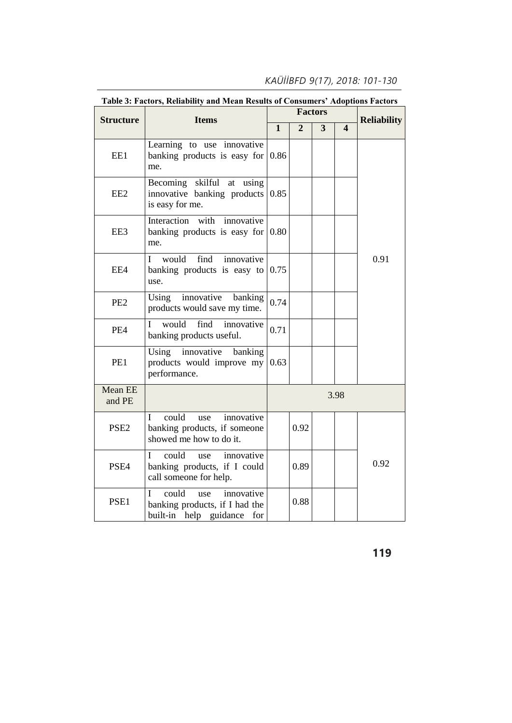| <b>Structure</b>         | radic 9. Factors, includinty and mean incsults of Consumers' Adoptions Factors<br><b>Items</b>     |              |                | <b>Factors</b> |                       | <b>Reliability</b> |  |
|--------------------------|----------------------------------------------------------------------------------------------------|--------------|----------------|----------------|-----------------------|--------------------|--|
|                          |                                                                                                    | $\mathbf{1}$ | $\overline{2}$ | $\overline{3}$ | $\boldsymbol{\Delta}$ |                    |  |
| EE1                      | Learning to use innovative<br>banking products is easy for<br>me.                                  | 0.86         |                |                |                       |                    |  |
| EE <sub>2</sub>          | Becoming skilful at using<br>innovative banking products $0.85$<br>is easy for me.                 |              |                |                |                       |                    |  |
| EE3                      | with<br>Interaction<br>innovative<br>banking products is easy for $0.80$<br>me.                    |              |                |                |                       |                    |  |
| EE4                      | find<br>would<br>innovative<br>L<br>banking products is easy to $0.75$<br>use.                     |              |                |                |                       | 0.91               |  |
| PE <sub>2</sub>          | Using innovative banking<br>products would save my time.                                           | 0.74         |                |                |                       |                    |  |
| PE4                      | would<br>find<br>innovative<br>L<br>banking products useful.                                       | 0.71         |                |                |                       |                    |  |
| PE1                      | innovative banking<br>Using<br>products would improve my $(0.63)$<br>performance.                  |              |                |                |                       |                    |  |
| <b>Mean EE</b><br>and PE |                                                                                                    |              |                |                | 3.98                  |                    |  |
| PSE <sub>2</sub>         | could<br>innovative<br>L<br>use<br>banking products, if someone<br>showed me how to do it.         |              | 0.92           |                |                       |                    |  |
| PSE <sub>4</sub>         | could<br>innovative<br>use<br>Ι<br>banking products, if I could<br>call someone for help.          |              | 0.89           |                |                       | 0.92               |  |
| PSE1                     | could<br>innovative<br>T<br>use<br>banking products, if I had the<br>built-in help guidance<br>for |              | 0.88           |                |                       |                    |  |

## **Table 3: Factors, Reliability and Mean Results of Consumers' Adoptions Factors**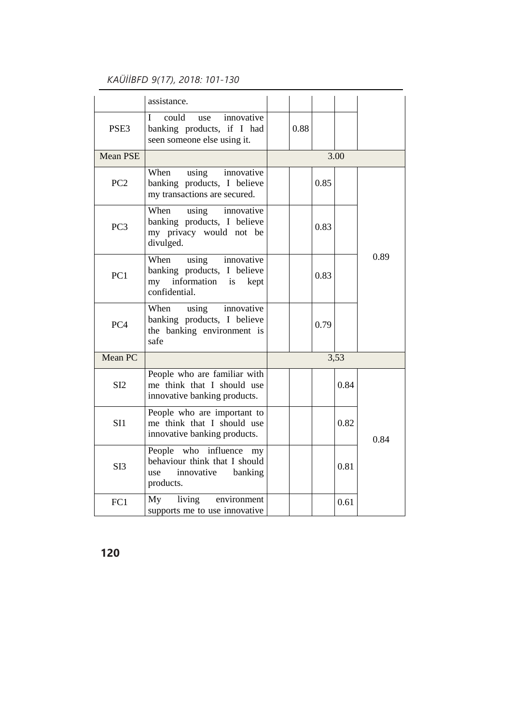|                  | assistance.                                                                                           |      |      |      |      |
|------------------|-------------------------------------------------------------------------------------------------------|------|------|------|------|
| PSE <sub>3</sub> | could<br>innovative<br>L<br>use<br>banking products, if I had<br>seen someone else using it.          | 0.88 |      |      |      |
| <b>Mean PSE</b>  |                                                                                                       |      |      | 3.00 |      |
| PC <sub>2</sub>  | When<br>using<br>innovative<br>banking products, I believe<br>my transactions are secured.            |      | 0.85 |      |      |
| PC <sub>3</sub>  | When<br>innovative<br>using<br>banking products, I believe<br>my privacy would not be<br>divulged.    |      | 0.83 |      |      |
| PC <sub>1</sub>  | When<br>using innovative<br>banking products, I believe<br>my information is kept<br>confidential.    |      | 0.83 |      | 0.89 |
| PC <sub>4</sub>  | using<br>innovative<br>When<br>banking products, I believe<br>the banking environment is<br>safe      |      | 0.79 |      |      |
| Mean PC          |                                                                                                       |      |      | 3,53 |      |
| SI2              | People who are familiar with<br>me think that I should use<br>innovative banking products.            |      |      | 0.84 |      |
| SI1              | People who are important to<br>me think that I should use<br>innovative banking products.             |      |      | 0.82 | 0.84 |
| SI3              | People who influence<br>my<br>behaviour think that I should<br>use<br>innovative banking<br>products. |      |      | 0.81 |      |
| FC1              | My living<br>environment<br>supports me to use innovative                                             |      |      | 0.61 |      |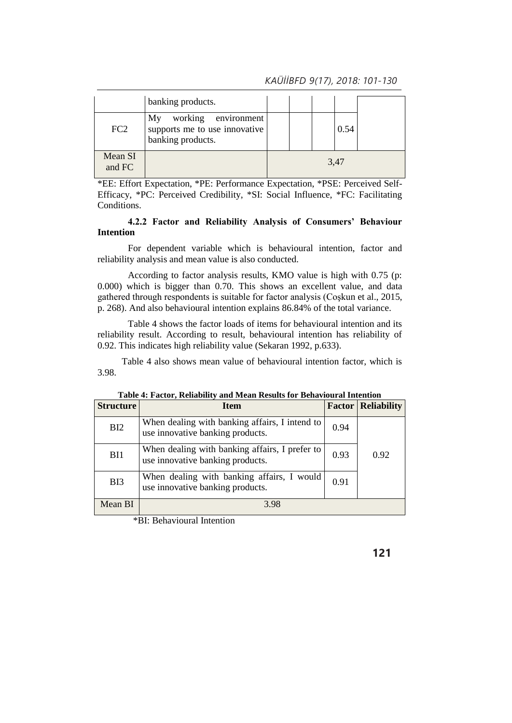|                   | banking products.                                                               |  |      |  |
|-------------------|---------------------------------------------------------------------------------|--|------|--|
| FC <sub>2</sub>   | working environment<br>My<br>supports me to use innovative<br>banking products. |  | 0.54 |  |
| Mean SI<br>and FC |                                                                                 |  | 3,47 |  |

\*EE: Effort Expectation, \*PE: Performance Expectation, \*PSE: Perceived Self-Efficacy, \*PC: Perceived Credibility, \*SI: Social Influence, \*FC: Facilitating Conditions.

## **4.2.2 Factor and Reliability Analysis of Consumers' Behaviour Intention**

For dependent variable which is behavioural intention, factor and reliability analysis and mean value is also conducted.

According to factor analysis results, KMO value is high with 0.75 (p: 0.000) which is bigger than 0.70. This shows an excellent value, and data gathered through respondents is suitable for factor analysis (Coşkun et al., 2015, p. 268). And also behavioural intention explains 86.84% of the total variance.

Table 4 shows the factor loads of items for behavioural intention and its reliability result. According to result, behavioural intention has reliability of 0.92. This indicates high reliability value (Sekaran 1992, p.633).

Table 4 also shows mean value of behavioural intention factor, which is 3.98.

| <b>Structure</b> | <b>Item</b>                                                                        |      | <b>Factor Reliability</b> |
|------------------|------------------------------------------------------------------------------------|------|---------------------------|
| BI2              | When dealing with banking affairs, I intend to<br>use innovative banking products. | 0.94 |                           |
| BI1              | When dealing with banking affairs, I prefer to<br>use innovative banking products. | 0.93 | 0.92                      |
| B <sub>I3</sub>  | When dealing with banking affairs, I would<br>use innovative banking products.     | 0.91 |                           |
| Mean BI          | 3.98                                                                               |      |                           |

|  |  | Table 4: Factor, Reliability and Mean Results for Behavioural Intention |
|--|--|-------------------------------------------------------------------------|
|  |  |                                                                         |

\*BI: Behavioural Intention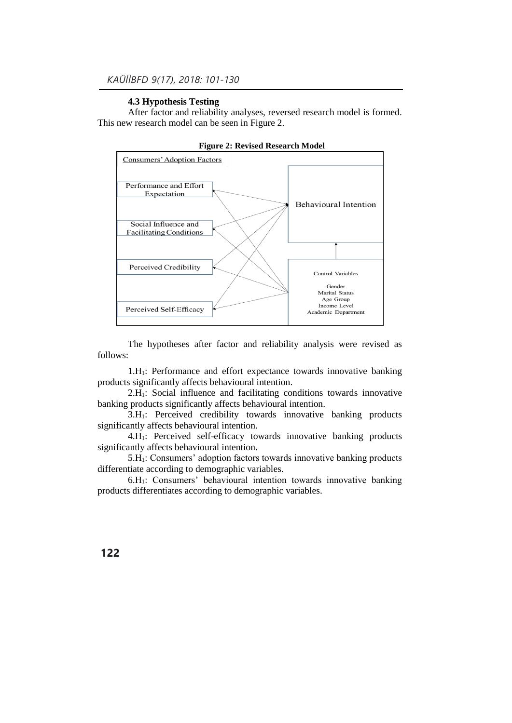## **4.3 Hypothesis Testing**

After factor and reliability analyses, reversed research model is formed. This new research model can be seen in Figure 2.



![](_page_21_Figure_4.jpeg)

The hypotheses after factor and reliability analysis were revised as follows:

1.H1: Performance and effort expectance towards innovative banking products significantly affects behavioural intention.

2.H1: Social influence and facilitating conditions towards innovative banking products significantly affects behavioural intention.

3.H1: Perceived credibility towards innovative banking products significantly affects behavioural intention.

4.H1: Perceived self-efficacy towards innovative banking products significantly affects behavioural intention.

5.H1: Consumers' adoption factors towards innovative banking products differentiate according to demographic variables.

6.H1: Consumers' behavioural intention towards innovative banking products differentiates according to demographic variables.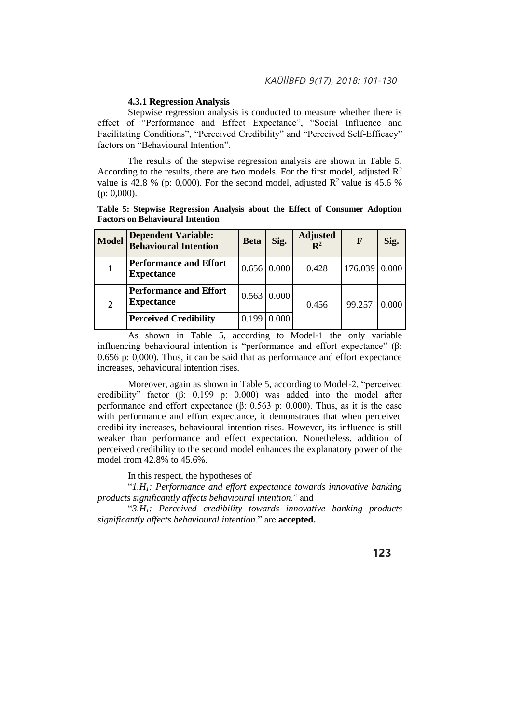### **4.3.1 Regression Analysis**

Stepwise regression analysis is conducted to measure whether there is effect of "Performance and Effect Expectance", "Social Influence and Facilitating Conditions", "Perceived Credibility" and "Perceived Self-Efficacy" factors on "Behavioural Intention".

The results of the stepwise regression analysis are shown in Table 5. According to the results, there are two models. For the first model, adjusted  $\mathbb{R}^2$ value is 42.8 % (p: 0,000). For the second model, adjusted  $R^2$  value is 45.6 % (p: 0,000).

**Table 5: Stepwise Regression Analysis about the Effect of Consumer Adoption Factors on Behavioural Intention**

| <b>Model</b> | <b>Dependent Variable:</b><br><b>Behavioural Intention</b> | <b>Beta</b> | Sig.               | <b>Adjusted</b><br>$\mathbb{R}^2$ | F             | Sig.  |
|--------------|------------------------------------------------------------|-------------|--------------------|-----------------------------------|---------------|-------|
|              | <b>Performance and Effort</b><br><b>Expectance</b>         |             | $0.656 \, 0.000$   | 0.428                             | 176.039 0.000 |       |
| $\mathbf 2$  | <b>Performance and Effort</b><br><b>Expectance</b>         |             | $0.563 \mid 0.000$ | 0.456                             | 99.257        | 0.000 |
|              | <b>Perceived Credibility</b>                               | 0.199       | 0.000              |                                   |               |       |

As shown in Table 5, according to Model-1 the only variable influencing behavioural intention is "performance and effort expectance" (β: 0.656 p: 0,000). Thus, it can be said that as performance and effort expectance increases, behavioural intention rises.

Moreover, again as shown in Table 5, according to Model-2, "perceived credibility" factor (β: 0.199 p: 0.000) was added into the model after performance and effort expectance (β: 0.563 p: 0.000). Thus, as it is the case with performance and effort expectance, it demonstrates that when perceived credibility increases, behavioural intention rises. However, its influence is still weaker than performance and effect expectation. Nonetheless, addition of perceived credibility to the second model enhances the explanatory power of the model from 42.8% to 45.6%.

In this respect, the hypotheses of

"*1.H1: Performance and effort expectance towards innovative banking products significantly affects behavioural intention.*" and

"*3.H1: Perceived credibility towards innovative banking products significantly affects behavioural intention.*" are **accepted.**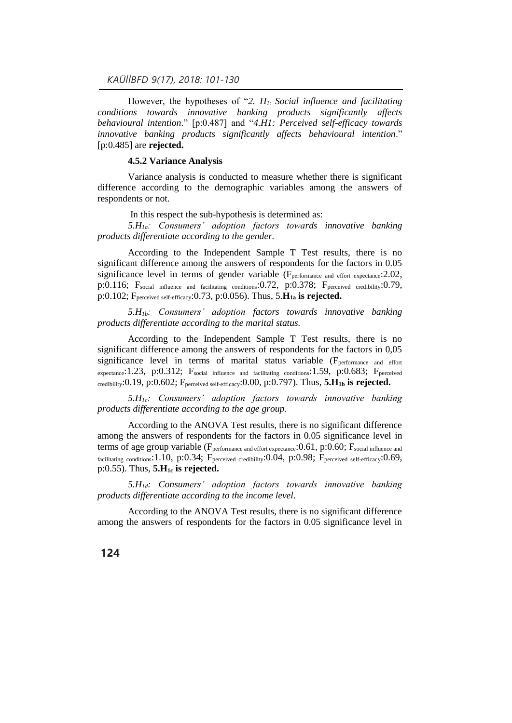However, the hypotheses of "*2. H1: Social influence and facilitating conditions towards innovative banking products significantly affects behavioural intention*." [p:0.487] and "*4.H1: Perceived self-efficacy towards innovative banking products significantly affects behavioural intention*." [p:0.485] are **rejected.**

#### **4.5.2 Variance Analysis**

Variance analysis is conducted to measure whether there is significant difference according to the demographic variables among the answers of respondents or not.

In this respect the sub-hypothesis is determined as:

*5.H1a: Consumers' adoption factors towards innovative banking products differentiate according to the gender.*

According to the Independent Sample T Test results, there is no significant difference among the answers of respondents for the factors in 0.05 significance level in terms of gender variable (F<sub>performance and effort expectance</sub>: 2.02, p:0.116; Fsocial influence and facilitating conditions:0.72, p:0.378; Fperceived credibility:0.79, p:0.102; Fperceived self-efficacy:0.73, p:0.056). Thus, 5.**H1a is rejected.**

*5.H1b: Consumers' adoption factors towards innovative banking products differentiate according to the marital status.*

According to the Independent Sample T Test results, there is no significant difference among the answers of respondents for the factors in 0,05 significance level in terms of marital status variable (Fperformance and effort expectance: 1.23, p:0.312; Fsocial influence and facilitating conditions: 1.59, p:0.683; Fperceived credibility:0.19, p:0.602; Fperceived self-efficacy:0.00, p:0.797). Thus, **5.H1b is rejected.** 

*5.H1c: Consumers' adoption factors towards innovative banking products differentiate according to the age group.*

According to the ANOVA Test results, there is no significant difference among the answers of respondents for the factors in 0.05 significance level in terms of age group variable (F<sub>performance and effort expectance</sub>: 0.61, p: 0.60; F<sub>social influence and</sub> facilitating conditions:1.10, p:0.34; F<sub>perceived credibility</sub>:0.04, p:0.98; F<sub>perceived self-efficacy</sub>:0.69, p:0.55). Thus, **5.H1c is rejected.**

*5.H1d: Consumers' adoption factors towards innovative banking products differentiate according to the income level.*

According to the ANOVA Test results, there is no significant difference among the answers of respondents for the factors in 0.05 significance level in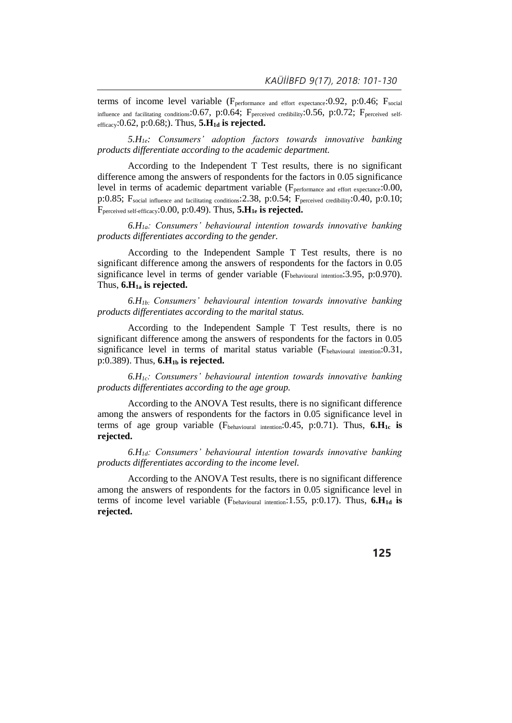terms of income level variable (F<sub>performance and effort expectance</sub>: 0.92, p: 0.46; F<sub>social</sub> influence and facilitating conditions: 0.67, p:0.64; Fperceived credibility: 0.56, p:0.72; Fperceived selfefficacy:0.62, p:0.68;). Thus, **5.H1d is rejected.**

*5.H1e: Consumers' adoption factors towards innovative banking products differentiate according to the academic department.*

According to the Independent T Test results, there is no significant difference among the answers of respondents for the factors in 0.05 significance level in terms of academic department variable (F<sub>performance and effort expectance</sub>:0.00, p:0.85; Fsocial influence and facilitating conditions:2.38, p:0.54; Fperceived credibility:0.40, p:0.10; Fperceived self-efficacy:0.00, p:0.49). Thus, **5.H1e is rejected.**

*6.H1a: Consumers' behavioural intention towards innovative banking products differentiates according to the gender.*

According to the Independent Sample T Test results, there is no significant difference among the answers of respondents for the factors in 0.05 significance level in terms of gender variable ( $F_{\text{behavioural intention}}$ : 3.95, p:0.970). Thus, **6.H1a is rejected.**

*6.H1b: Consumers' behavioural intention towards innovative banking products differentiates according to the marital status.*

According to the Independent Sample T Test results, there is no significant difference among the answers of respondents for the factors in 0.05 significance level in terms of marital status variable (Fbehavioural intention: 0.31, p:0.389). Thus, **6.H1b is rejected.**

*6.H1c: Consumers' behavioural intention towards innovative banking products differentiates according to the age group.*

According to the ANOVA Test results, there is no significant difference among the answers of respondents for the factors in 0.05 significance level in terms of age group variable (Fbehavioural intention:0.45, p:0.71). Thus, **6.H1c is rejected.**

*6.H1d: Consumers' behavioural intention towards innovative banking products differentiates according to the income level.*

According to the ANOVA Test results, there is no significant difference among the answers of respondents for the factors in 0.05 significance level in terms of income level variable (Fbehavioural intention:1.55, p:0.17). Thus, **6.H1d is rejected.**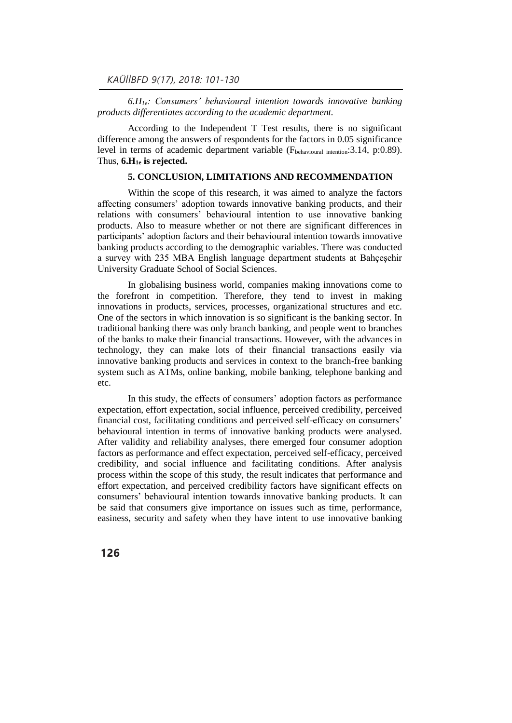*6.H1e: Consumers' behavioural intention towards innovative banking products differentiates according to the academic department.*

According to the Independent T Test results, there is no significant difference among the answers of respondents for the factors in 0.05 significance level in terms of academic department variable (Fbehavioural intention: 3.14, p:0.89). Thus, **6.H1e is rejected.** 

## **5. CONCLUSION, LIMITATIONS AND RECOMMENDATION**

Within the scope of this research, it was aimed to analyze the factors affecting consumers' adoption towards innovative banking products, and their relations with consumers' behavioural intention to use innovative banking products. Also to measure whether or not there are significant differences in participants' adoption factors and their behavioural intention towards innovative banking products according to the demographic variables. There was conducted a survey with 235 MBA English language department students at Bahçeşehir University Graduate School of Social Sciences.

In globalising business world, companies making innovations come to the forefront in competition. Therefore, they tend to invest in making innovations in products, services, processes, organizational structures and etc. One of the sectors in which innovation is so significant is the banking sector. In traditional banking there was only branch banking, and people went to branches of the banks to make their financial transactions. However, with the advances in technology, they can make lots of their financial transactions easily via innovative banking products and services in context to the branch-free banking system such as ATMs, online banking, mobile banking, telephone banking and etc.

In this study, the effects of consumers' adoption factors as performance expectation, effort expectation, social influence, perceived credibility, perceived financial cost, facilitating conditions and perceived self-efficacy on consumers' behavioural intention in terms of innovative banking products were analysed. After validity and reliability analyses, there emerged four consumer adoption factors as performance and effect expectation, perceived self-efficacy, perceived credibility, and social influence and facilitating conditions. After analysis process within the scope of this study, the result indicates that performance and effort expectation, and perceived credibility factors have significant effects on consumers' behavioural intention towards innovative banking products. It can be said that consumers give importance on issues such as time, performance, easiness, security and safety when they have intent to use innovative banking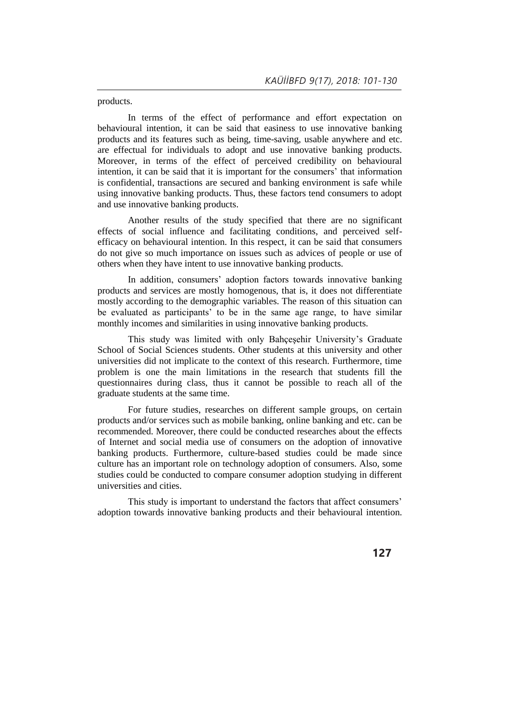products.

In terms of the effect of performance and effort expectation on behavioural intention, it can be said that easiness to use innovative banking products and its features such as being, time-saving, usable anywhere and etc. are effectual for individuals to adopt and use innovative banking products. Moreover, in terms of the effect of perceived credibility on behavioural intention, it can be said that it is important for the consumers' that information is confidential, transactions are secured and banking environment is safe while using innovative banking products. Thus, these factors tend consumers to adopt and use innovative banking products.

Another results of the study specified that there are no significant effects of social influence and facilitating conditions, and perceived selfefficacy on behavioural intention. In this respect, it can be said that consumers do not give so much importance on issues such as advices of people or use of others when they have intent to use innovative banking products.

In addition, consumers' adoption factors towards innovative banking products and services are mostly homogenous, that is, it does not differentiate mostly according to the demographic variables. The reason of this situation can be evaluated as participants' to be in the same age range, to have similar monthly incomes and similarities in using innovative banking products.

This study was limited with only Bahçeşehir University's Graduate School of Social Sciences students. Other students at this university and other universities did not implicate to the context of this research. Furthermore, time problem is one the main limitations in the research that students fill the questionnaires during class, thus it cannot be possible to reach all of the graduate students at the same time.

For future studies, researches on different sample groups, on certain products and/or services such as mobile banking, online banking and etc. can be recommended. Moreover, there could be conducted researches about the effects of Internet and social media use of consumers on the adoption of innovative banking products. Furthermore, culture-based studies could be made since culture has an important role on technology adoption of consumers. Also, some studies could be conducted to compare consumer adoption studying in different universities and cities.

This study is important to understand the factors that affect consumers' adoption towards innovative banking products and their behavioural intention.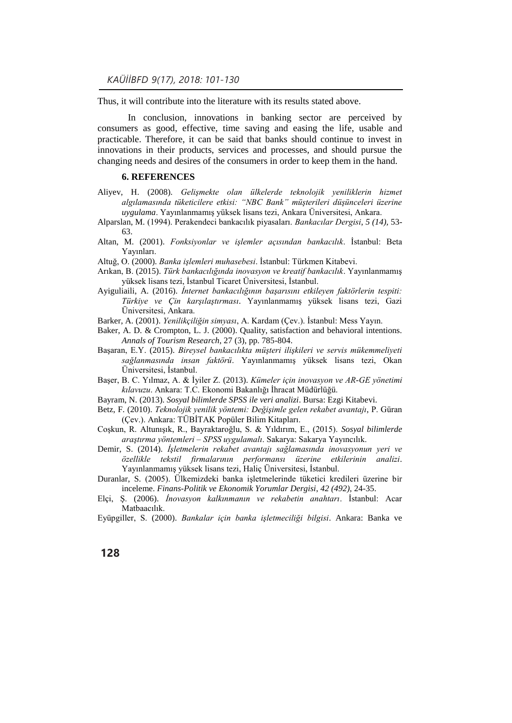Thus, it will contribute into the literature with its results stated above.

In conclusion, innovations in banking sector are perceived by consumers as good, effective, time saving and easing the life, usable and practicable. Therefore, it can be said that banks should continue to invest in innovations in their products, services and processes, and should pursue the changing needs and desires of the consumers in order to keep them in the hand.

### **6. REFERENCES**

- Aliyev, H. (2008). *Gelişmekte olan ülkelerde teknolojik yeniliklerin hizmet algılamasında tüketicilere etkisi: "NBC Bank" müşterileri düşünceleri üzerine uygulama*. Yayınlanmamış yüksek lisans tezi, Ankara Üniversitesi, Ankara.
- Alparslan, M. (1994). Perakendeci bankacılık piyasaları. *Bankacılar Dergisi*, *5 (14),* 53- 63.
- Altan, M. (2001). *Fonksiyonlar ve işlemler açısından bankacılık*. İstanbul: Beta Yayınları.
- Altuğ, O. (2000). *Banka işlemleri muhasebesi*. İstanbul: Türkmen Kitabevi.
- Arıkan, B. (2015). *Türk bankacılığında inovasyon ve kreatif bankacılık*. Yayınlanmamış yüksek lisans tezi, İstanbul Ticaret Üniversitesi, İstanbul.
- Ayiguliaili, A. (2016). *İnternet bankacılığının başarısını etkileyen faktörlerin tespiti: Türkiye ve Çin karşılaştırması*. Yayınlanmamış yüksek lisans tezi, Gazi Üniversitesi, Ankara.
- Barker, A. (2001). *Yenilikçiliğin simyası*, A. Kardam (Çev.). İstanbul: Mess Yayın.
- Baker, A. D. & Crompton, L. J. (2000). Quality, satisfaction and behavioral intentions. *Annals of Tourism Research*, 27 (3), pp. 785-804.
- Başaran, E.Y. (2015). *Bireysel bankacılıkta müşteri ilişkileri ve servis mükemmeliyeti sağlanmasında insan faktörü*. Yayınlanmamış yüksek lisans tezi, Okan Üniversitesi, İstanbul.
- Başer, B. C. Yılmaz, A. & İyiler Z. (2013). *Kümeler için inovasyon ve AR-GE yönetimi kılavuzu*. Ankara: T.C. Ekonomi Bakanlığı İhracat Müdürlüğü.
- Bayram, N. (2013). *Sosyal bilimlerde SPSS ile veri analizi*. Bursa: Ezgi Kitabevi.
- Betz, F. (2010). *Teknolojik yenilik yöntemi: Değişimle gelen rekabet avantajı*, P. Güran (Çev.). Ankara: TÜBİTAK Popüler Bilim Kitapları.
- Coşkun, R. Altunışık, R., Bayraktaroğlu, S. & Yıldırım, E., (2015). *Sosyal bilimlerde araştırma yöntemleri – SPSS uygulamalı*. Sakarya: Sakarya Yayıncılık.
- Demir, S. (2014). *İşletmelerin rekabet avantajı sağlamasında inovasyonun yeri ve özellikle tekstil firmalarının performansı üzerine etkilerinin analizi*. Yayınlanmamış yüksek lisans tezi, Haliç Üniversitesi, İstanbul.
- Duranlar, S. (2005). Ülkemizdeki banka işletmelerinde tüketici kredileri üzerine bir inceleme. *Finans-Politik ve Ekonomik Yorumlar Dergisi*, *42 (492),* 24-35.
- Elçi, Ş. (2006). *İnovasyon kalkınmanın ve rekabetin anahtarı*. İstanbul: Acar Matbaacılık.
- Eyüpgiller, S. (2000). *Bankalar için banka işletmeciliği bilgisi*. Ankara: Banka ve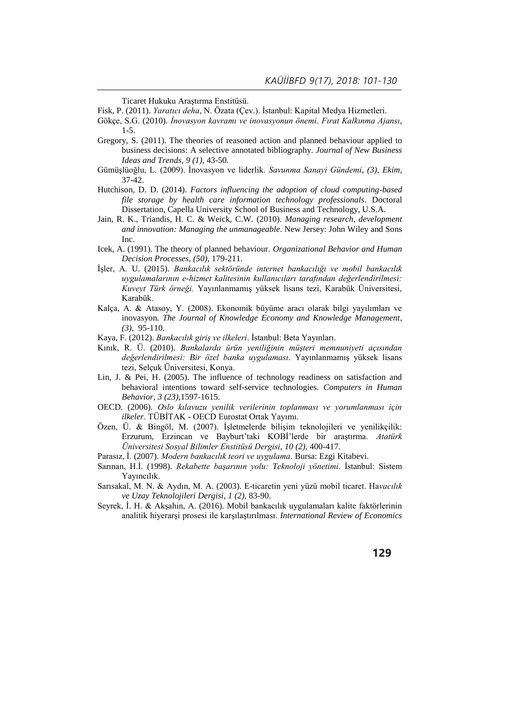Ticaret Hukuku Araştırma Enstitüsü.

Fisk, P. (2011). *Yaratıcı deha*, N. Özata (Çev.). İstanbul: Kapital Medya Hizmetleri.

- Gökçe, S.G. (2010). *İnovasyon kavramı ve inovasyonun önemi*. *Fırat Kalkınma Ajansı*, 1-5.
- Gregory, S. (2011). The theories of reasoned action and planned behaviour applied to business decisions: A selective annotated bibliography. *Journal of New Business Ideas and Trends*, *9 (1),* 43-50.
- Gümüşlüoğlu, L. (2009). İnovasyon ve liderlik. *Savunma Sanayi Gündemi*, *(3), Ekim*, 37-42.
- Hutchison, D. D. (2014). *Factors influencing the adoption of cloud computing-based file storage by health care information technology professionals*. Doctoral Dissertation, Capella University School of Business and Technology, U.S.A.
- Jain, R. K., Triandis, H. C. & Weick, C.W. (2010). *Managing research, development and innovation: Managing the unmanageable*. New Jersey: John Wiley and Sons Inc.
- Icek, A. (1991). The theory of planned behaviour. *Organizational Behavior and Human Decision Processes, (50),* 179-211.
- İşler, A. U. (2015). *Bankacılık sektöründe internet bankacılığı ve mobil bankacılık uygulamalarının e-hizmet kalitesinin kullanıcıları tarafından değerlendirilmesi: Kuveyt Türk örneği.* Yayınlanmamış yüksek lisans tezi, Karabük Üniversitesi, Karabük.
- Kalça, A. & Atasoy, Y. (2008). Ekonomik büyüme aracı olarak bilgi yayılımları ve inovasyon. *The Journal of Knowledge Economy and Knowledge Management*, *(3),* 95-110.
- Kaya, F. (2012). *Bankacılık giriş ve ilkeleri*. İstanbul: Beta Yayınları.
- Kınık, R. Ü. (2010). *Bankalarda ürün yeniliğinin müşteri memnuniyeti açısından değerlendirilmesi: Bir özel banka uygulaması*. Yayınlanmamış yüksek lisans tezi, Selçuk Üniversitesi, Konya.
- Lin, J. & Pei, H. (2005). The influence of technology readiness on satisfaction and behavioral intentions toward self-service technologies. *Computers in Human Behavior*, *3 (23),*1597-1615.
- OECD. (2006). *Oslo kılavuzu yenilik verilerinin toplanması ve yorumlanması için ilkeler*. TÜBİTAK - OECD Eurostat Ortak Yayımı.
- Özen, Ü. & Bingöl, M. (2007). İşletmelerde bilişim teknolojileri ve yenilikçilik: Erzurum, Erzincan ve Bayburt'taki KOBİ'lerde bir araştırma. *Atatürk Üniversitesi Sosyal Bilimler Enstitüsü Dergisi*, *10 (2),* 400-417.
- Parasız, İ. (2007). *Modern bankacılık teori ve uygulama*. Bursa: Ezgi Kitabevi.
- Sarınan, H.İ. (1998). *Rekabette başarının yolu: Teknoloji yönetimi*. İstanbul: Sistem Yayıncılık.
- Sarısakal, M. N. & Aydın, M. A. (2003). E-ticaretin yeni yüzü mobil ticaret. Ha*vacılık ve Uzay Teknolojileri Dergisi*, *1 (2),* 83-90.
- Seyrek, İ. H. & Akşahin, A. (2016). Mobil bankacılık uygulamaları kalite faktörlerinin analitik hiyerarşi prosesi ile karşılaştırılması. *International Review of Economics*